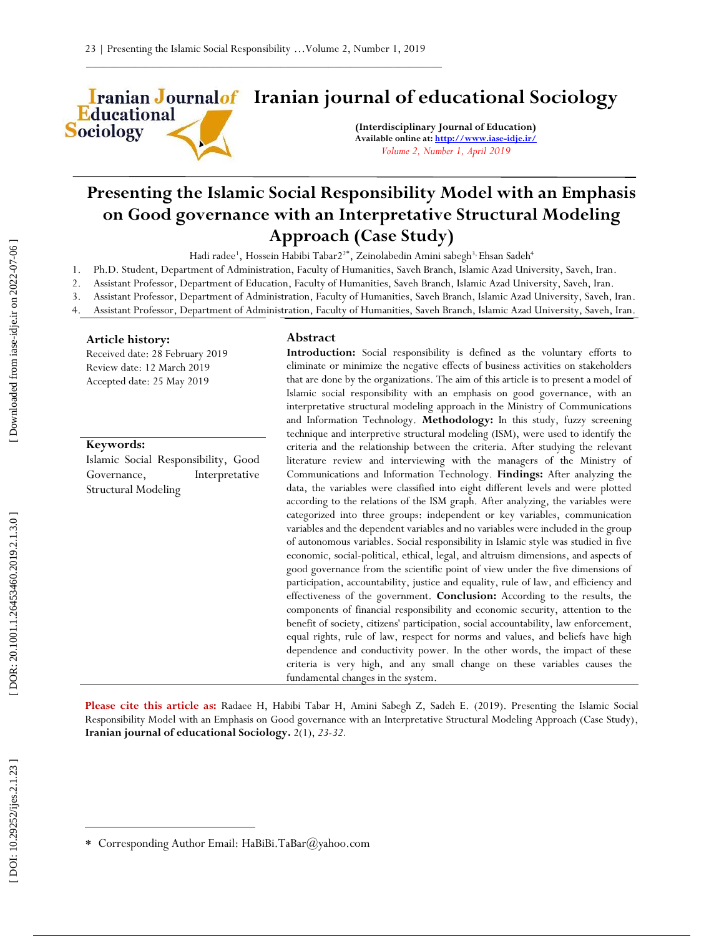**Iranian Journalof** Iranian journal of educational Sociology **Educational** 

**(Interdisciplinary Journal of Education) Available online at[: http://www.iase](http://www.iase-idje.ir/) -idje.ir/** *Volume 2, Number 1, April 2019*

# **Presenting the Islamic Social Responsibility Model with an Emphasis on Good governance with an Interpretative Structural Modeling Approach (Case Study)**

Hadi radee<sup>1</sup>, Hossein Habibi Tabar2<sup>2\*</sup>, Zeinolabedin Amini sabegh<sup>3,</sup> Ehsan Sadeh<sup>4</sup>

- 1. Ph.D. Student, Department of Administration, Faculty of Humanities, Saveh Branch, Islamic Azad University, Saveh, Iran.
- 2. Assistant Professor, Department of Education, Faculty of Humanities, Saveh Branch, Islamic Azad University, Saveh, Iran.
- 3. Assistant Professor, Department of Administration, Faculty of Humanities, Saveh Branch, Islamic Azad University, Saveh, Iran.
- 4. Assistant Professor, Department of Administration, Faculty of Humanities, Saveh Branch, Islamic Azad University, Saveh, Iran.

### **Article history:**

**Sociology** 

Received date: 28 February 2019 Review date: 12 March 2019 Accepted date: 25 May 2019

#### **Keywords:**

Islamic Social Responsibility, Good Governance, Interpretative Structural Modeling

## **Abstract**

Introduction: Social responsibility is defined as the voluntary efforts to eliminate or minimize the negative effects of business activities on stakeholders that are done by the organizations. The aim of this article is to present a model of Islamic social responsibility with an emphasis on good governance, with an interpretative structural modeling approach in the Ministry of Communications and Information Technology. **Methodology:** In this study, fuzzy screening technique and interpretive structural modeling (ISM), were used to identify the criteria and the relationship between the criteria. After studying the relevant literature review and interviewing with the managers of the Ministry of Communications and Information Technology. **Findings:** After analyzing the data, the variables were classified into eight different levels and were plotted according to the relations of the ISM graph. After analyzing, the variables were categorized into three groups: independent or key variables, communication variables and the dependent variables and no variables were included in the group of autonomous variables. Social responsibility in Islamic style was studied in five economic, social -political, ethical, legal, and altruism dimensions, and aspects of good governance from the scientific point of view under the five dimensions of participation, accountability, justice and equality, rule of law, and efficiency and effectiveness of the government. **Conclusion:** According to the results, the components of financial responsibility and economic security, attention to the benefit of society, citizens' participation, social accountability, law enforcement, equal rights, rule of law, respect for norms and values, and beliefs have high dependence and conductivity power. In the other words, the impact of these criteria is very high, and any small change on these variables causes the fundamental changes in the system.

**Please cite this article as:** Radaee H, Habibi Tabar H, Amini Sabegh Z, Sadeh E. (201 9). Presenting the Islamic Social Responsibility Model with an Emphasis on Good governance with an Interpretative Structural Modeling Approach (Case Study) , **Iranian journal of educational Sociology .** 2 ( 1), *23 -32.*

 $\overline{a}$ 

Corresponding Author Email: HaBiBi.TaBar@yahoo.com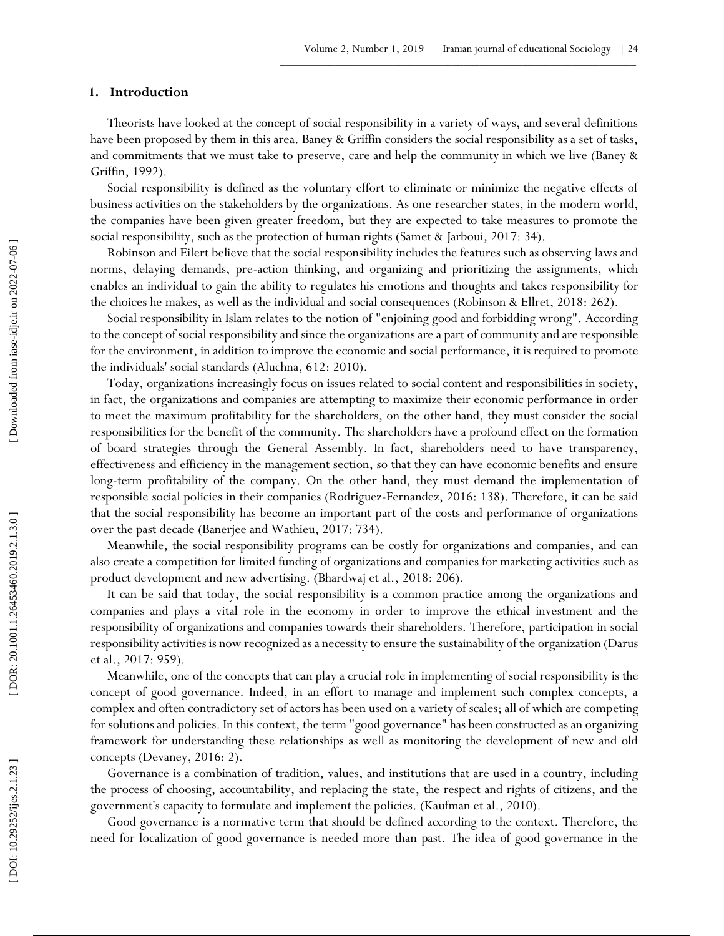# **1 . Introduction**

Theorists have looked at the concept of social responsibility in a variety of ways, and several definitions have been proposed by them in this area. Baney & Griffin considers the social responsibility as a set of tasks, and commitments that we must take to preserve, care and help the community in which we live (Baney & Griffin, 1992).

Social responsibility is defined as the voluntary effort to eliminate or minimize the negative effects of business activities on the stakeholders by the organizations. As one researcher states, in the modern world, the companies have been given greater freedom, but they are expected to take measures to promote the social responsibility, such as the protection of human rights (Samet & Jarboui, 2017: 34).

Robinson and Eilert believe that the social responsibility includes the features such as observing laws and norms, delaying demands, pre -action thinking, and organizing and prioritizing the assignments, which enables an individual to gain the ability to regulates his emotions and thoughts and takes responsibility for the choices he makes, as well as the individual and social consequences (Robinson & Ellret, 2018: 262).

Social responsibility in Islam relates to the notion of "enjoining good and forbidding wrong". According to the concept of social responsibility and since the organizations are a part of community and are responsible for the environment, in addition to improve the economic and social performance, it is required to promote the individuals' social standards (Aluchna, 612: 2010).

Today, organizations increasingly focus on issues related to social content and responsibilities in society, in fact, the organizations and companies are attempting to maximize their economic performance in order to meet the maximum profitability for the shareholders, on the other hand, they must consider the social responsibilities for the benefit of the community. The shareholders have a profound effect on the formation of board strategies through the General Assembly. In fact, shareholders need to have transparency, effectiveness and efficiency in the management section, so that they can have economic benefits and ensure long -term profitability of the company. On the other hand, they must demand the implementation of responsible social policies in their companies (Rodriguez -Fernandez, 2016: 138). Therefore, it can be said that the social responsibility has become an important part of the costs and performance of organizations over the past decade (Banerjee and Wathieu, 2017: 734).

Meanwhile, the social responsibility programs can be costly for organizations and companies, and can also create a competition for limited funding of organizations and companies for marketing activities such as product development and new advertising. (Bhardwaj et al., 2018: 206).

It can be said that today, the social responsibility is a common practice among the organizations and companies and plays a vital role in the economy in order to improve the ethical investment and the responsibility of organizations and companies towards their shareholders. Therefore, participation in social responsibility activities is now recognized as a necessity to ensure the sustainability of the organization (Darus et al., 2017: 959).

Meanwhile, one of the concepts that can play a crucial role in implementing of social responsibility is the concept of good governance. Indeed, in an effort to manage and implement such complex concepts, a complex and often contradictory set of actors has been used on a variety of scales; all of which are competing for solutions and policies. In this context, the term "good governance" has been constructed as an organizing framework for understanding these relationships as well as monitoring the development of new and old concepts (Devaney, 2016: 2).

Governance is a combination of tradition, values, and institutions that are used in a country, including the process of choosing, accountability, and replacing the state, the respect and rights of citizens, and the government's capacity to formulate and implement the policies. (Kaufman et al., 2010).

Good governance is a normative term that should be defined according to the context. Therefore, the need for localization of good governance is needed more than past. The idea of good governance in the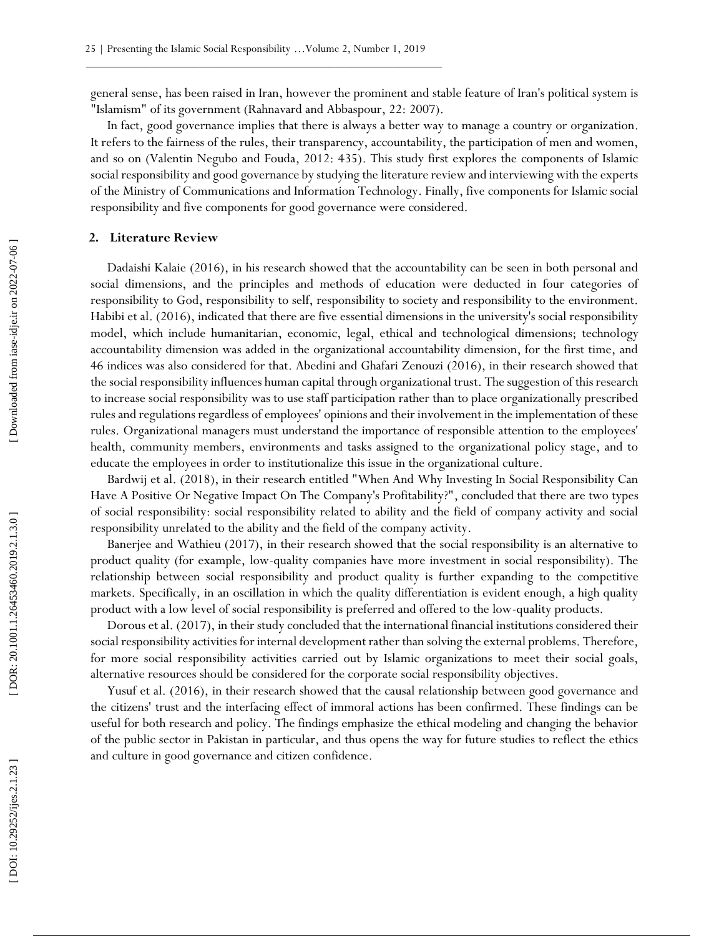general sense, has been raised in Iran, however the prominent and stable feature of Iran's political system is "Islamism" of its government (Rahnavard and Abbaspour, 22: 2007).

In fact, good governance implies that there is always a better way to manage a country or organization. It refers to the fairness of the rules, their transparency, accountability, the participation of men and women, and so on (Valentin Negubo and Fouda, 2012: 435). This study first explores the components of Islamic social responsibility and good governance by studying the literature review and interviewing with the experts of the Ministry of Communications and Information Technology. Finally, five components for Islamic social responsibility and five components for good governance were considered.

## **2. Literature Review**

Dadaishi Kalaie (2016), in his research showed that the accountability can be seen in both personal and social dimensions, and the principles and methods of education were deducted in four categories of responsibility to God, responsibility to self, responsibility to society and responsibility to the environment. Habibi et al. (2016), indicated that there are five essential dimensions in the university's social responsibility model, which include humanitarian, economic, legal, ethical and technological dimensions; technology accountability dimension was added in the organizational accountability dimension, for the first time, and 46 indices was also considered for that. Abedini and Ghafari Zenouzi (2016), in their research showed that the social responsibility influences human capital through organizational trust. The suggestion of this research to increase social responsibility was to use staff participation rather than to place organizationally prescribed rules and regulations regardless of employees' opinions and their involvement in the implementation of these rules. Organizational managers must understand the importance of responsible attention to the employees' health, community members, environments and tasks assigned to the organizational policy stage, and to educate the employees in order to institutionalize this issue in the organizational culture. 2. **Enerature nevire**<br>
Dadakihi Kalale (2016), in his research showed that<br>
social dimensions, and the principles and methods<br>
responsibility to God, responsibility to self, responsibility<br>
Habbi et al. (2016), indicated

Bardwij et al. (2018), in their research entitled "When And Why Investing In Social Responsibility Can Have A Positive Or Negative Impact On The Company's Profitability?", concluded that there are two types of social responsibility: social responsibility related to ability and the field of company activity and social responsibility unrelated to the ability and the field of the company activity.

Banerjee and Wathieu (2017), in their research showed that the social responsibility is an alternative to product quality (for example, low -quality companies have more investment in social responsibility). The relationship between social responsibility and product quality is further expanding to the competitive markets. Specifically, in an oscillation in which the quality differentiation is evident enough, a high quality product with a low level of social responsibility is preferred and offered to the low -quality products.

Dorous et al. (2017), in their study concluded that the international financial institutions considered their social responsibility activities for internal development rather than solving the external problems. Therefore, for more social responsibility activities carried out by Islamic organizations to meet their social goals, alternative resources should be considered for the corporate social responsibility objectives.

Yusuf et al. (2016), in their research showed that the causal relationship between good governance and the citizens' trust and the interfacing effect of immoral actions has been confirmed. These findings can be useful for both research and policy. The findings emphasize the ethical modeling and changing the behavior of the public sector in Pakistan in particular, and thus opens the way for future studies to reflect the ethics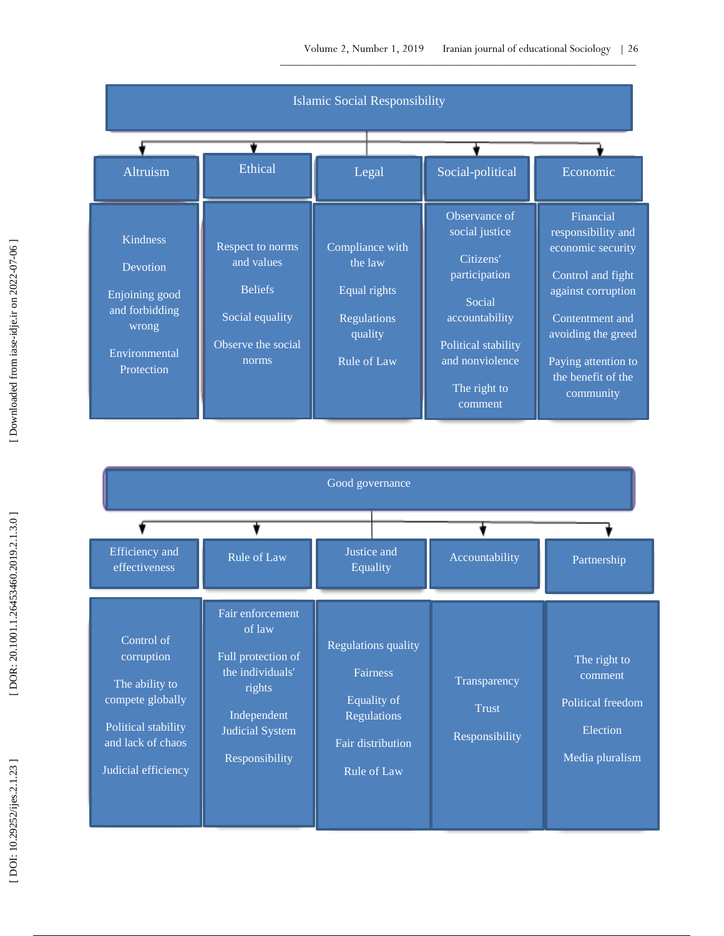

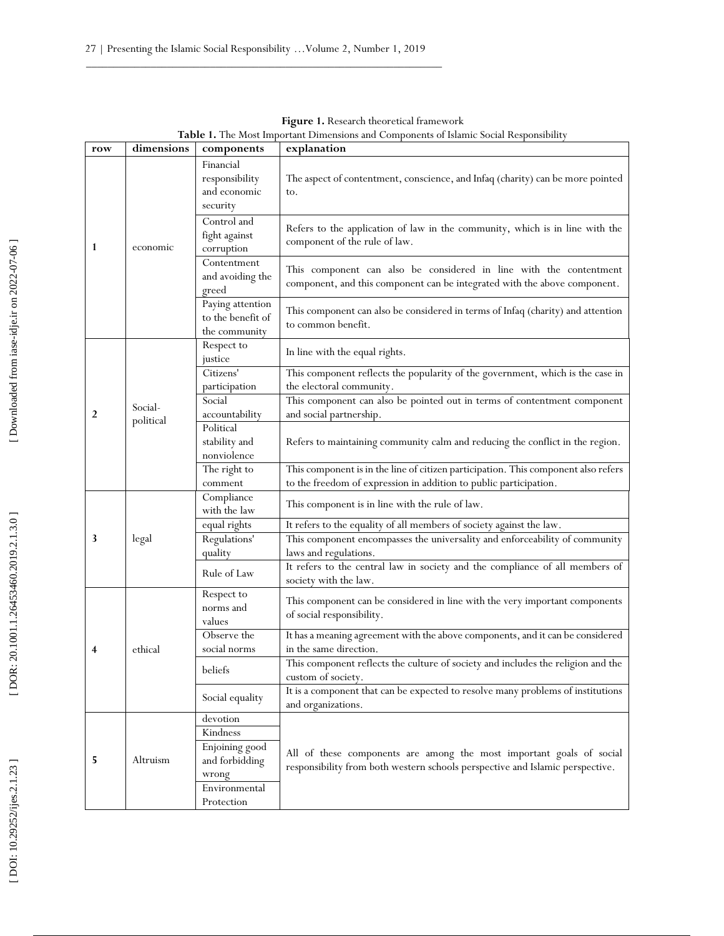| row                     | dimensions | components                                              | explanation                                                                                                                                             |
|-------------------------|------------|---------------------------------------------------------|---------------------------------------------------------------------------------------------------------------------------------------------------------|
|                         |            | Financial<br>responsibility<br>and economic<br>security | The aspect of contentment, conscience, and Infaq (charity) can be more pointed<br>to.                                                                   |
| 1                       | economic   | Control and<br>fight against<br>corruption              | Refers to the application of law in the community, which is in line with the<br>component of the rule of law.                                           |
|                         |            | Contentment<br>and avoiding the<br>greed                | This component can also be considered in line with the contentment<br>component, and this component can be integrated with the above component.         |
|                         |            | Paying attention<br>to the benefit of<br>the community  | This component can also be considered in terms of Infaq (charity) and attention<br>to common benefit.                                                   |
|                         |            | Respect to<br>justice                                   | In line with the equal rights.                                                                                                                          |
|                         |            | Citizens'<br>participation                              | This component reflects the popularity of the government, which is the case in<br>the electoral community.                                              |
| $\overline{2}$          | Social-    | Social<br>accountability                                | This component can also be pointed out in terms of contentment component<br>and social partnership.                                                     |
|                         | political  | Political<br>stability and<br>nonviolence               | Refers to maintaining community calm and reducing the conflict in the region.                                                                           |
|                         |            | The right to<br>comment                                 | This component is in the line of citizen participation. This component also refers<br>to the freedom of expression in addition to public participation. |
|                         |            | Compliance<br>with the law                              | This component is in line with the rule of law.                                                                                                         |
|                         |            | equal rights                                            | It refers to the equality of all members of society against the law.                                                                                    |
| 3                       | legal      | Regulations'                                            | This component encompasses the universality and enforceability of community                                                                             |
|                         |            | quality                                                 | laws and regulations.                                                                                                                                   |
|                         |            | Rule of Law                                             | It refers to the central law in society and the compliance of all members of<br>society with the law.                                                   |
|                         |            | Respect to<br>norms and<br>values                       | This component can be considered in line with the very important components<br>of social responsibility.                                                |
|                         |            | Observe the                                             | It has a meaning agreement with the above components, and it can be considered                                                                          |
| $\overline{\mathbf{4}}$ | ethical    | social norms                                            | in the same direction.                                                                                                                                  |
|                         |            | beliefs                                                 | This component reflects the culture of society and includes the religion and the<br>custom of society.                                                  |
|                         |            | Social equality                                         | It is a component that can be expected to resolve many problems of institutions<br>and organizations.                                                   |
|                         |            | devotion                                                |                                                                                                                                                         |
|                         |            | Kindness                                                |                                                                                                                                                         |
| 5                       | Altruism   | Enjoining good<br>and forbidding<br>wrong               | All of these components are among the most important goals of social<br>responsibility from both western schools perspective and Islamic perspective.   |
|                         |            | Environmental<br>Protection                             |                                                                                                                                                         |

**Figure 1.** Research theoretical framework **Table 1.** The Most Important Dimensions and Components of Islamic Social Responsibility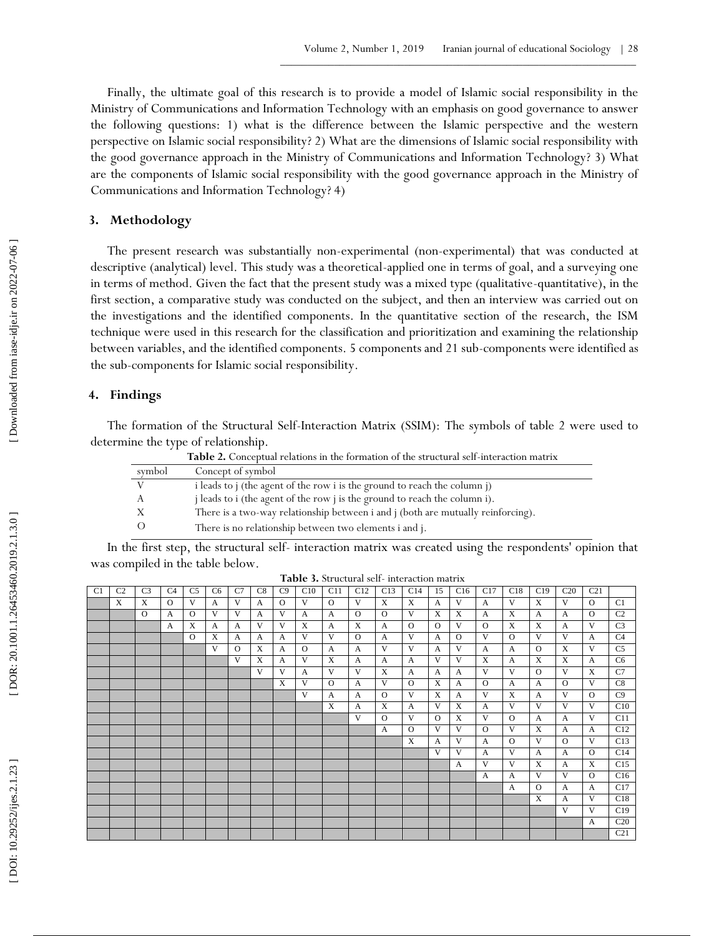Finally, the ultimate goal of this research is to provide a model of Islamic social responsibility in the Ministry of Communications and Information Technology with an emphasis on good governance to answer the following questions: 1) what is the difference between the Islamic perspective and the western perspective on Islamic social responsibility? 2) What are the dimensions of Islamic social responsibility with the good governance approach in the Ministry of Communications and Information Technology? 3) What are the components of Islamic social responsibility with the good governance approach in the Ministry of Communications and Information Technology? 4)

## **3. Methodology**

The present research was substantially non -experimental (non -experimental) that was conducted at descriptive (analytical) level. This study was a theoretical -applied one in terms of goal, and a surveying one in terms of method. Given the fact that the present study was a mixed type (qualitative-quantitative), in the first section, a comparative study was conducted on the subject, and then an interview was carried out on the investigations and the identified components. In the quantitative section of the research, the ISM technique were used in this research for the classification and prioritization and examining the relationship between variables, and the identified components. 5 components and 21 sub -components were identified as the sub -components for Islamic social responsibility.

# **4 . Findings**

The formation of the Structural Self-Interaction Matrix (SSIM): The symbols of table 2 were used to determine the type of relationship.

|        | Table 2. Conceptual relations in the formation of the structural self-interaction matrix |
|--------|------------------------------------------------------------------------------------------|
| symbol | Concept of symbol                                                                        |
|        | i leads to j (the agent of the row i is the ground to reach the column j)                |
|        | j leads to i (the agent of the row j is the ground to reach the column i).               |
|        | There is a two-way relationship between i and j (both are mutually reinforcing).         |
|        | There is no relationship between two elements i and j.                                   |

In the first step, the structural self- interaction matrix was created using the respondents' opinion that was compiled in the table below.

| <b>Table 3.</b> Structural self-interaction matrix |
|----------------------------------------------------|
|----------------------------------------------------|

|                |                |                |                |                |                |          |              |          |          |              | <b>Table 9.</b> Bu actural scil- interaction matrix |              |              |              |          |              |              |              |              |                 |                 |
|----------------|----------------|----------------|----------------|----------------|----------------|----------|--------------|----------|----------|--------------|-----------------------------------------------------|--------------|--------------|--------------|----------|--------------|--------------|--------------|--------------|-----------------|-----------------|
| C <sub>1</sub> | C <sub>2</sub> | C <sub>3</sub> | C <sub>4</sub> | C <sub>5</sub> | C <sub>6</sub> | C7       | C8           | C9       | C10      | C11          | C12                                                 | C13          | C14          | 15           | C16      | C17          | C18          | C19          | C20          | C <sub>21</sub> |                 |
|                | X              | X              | $\Omega$       | V              | A              | V        | A            | $\Omega$ | V        | $\Omega$     | V                                                   | X            | X            | A            | V        | A            | V            | X            | V            | $\Omega$        | C1              |
|                |                | $\Omega$       | $\mathsf{A}$   | $\Omega$       | V              | V        | $\mathsf{A}$ | V        | A        | $\mathsf{A}$ | $\Omega$                                            | $\Omega$     | V            | X            | X        | $\mathsf{A}$ | X            | $\mathsf{A}$ | $\mathsf{A}$ | $\Omega$        | C <sub>2</sub>  |
|                |                |                | $\mathbf{A}$   | X              | A              | A        | V            | V        | X        | $\mathbf{A}$ | X                                                   | A            | $\Omega$     | $\Omega$     | V        | $\Omega$     | X            | X            | $\mathbf{A}$ | V               | C <sub>3</sub>  |
|                |                |                |                | $\Omega$       | X              | A        | A            | A        | V        | V            | $\Omega$                                            | $\mathbf{A}$ | V            | $\mathbf{A}$ | $\Omega$ | V            | $\Omega$     | V            | V            | $\mathbf{A}$    | C <sub>4</sub>  |
|                |                |                |                |                | V              | $\Omega$ | X            | A        | $\Omega$ | A            | A                                                   | V            | V            | A            | V        | A            | A            | $\Omega$     | X            | V               | C <sub>5</sub>  |
|                |                |                |                |                |                | V        | X            | A        | V        | X            | A                                                   | A            | $\mathbf{A}$ | V            | V        | X            | A            | X            | X            | $\mathbf{A}$    | C <sub>6</sub>  |
|                |                |                |                |                |                |          | V            | V        | A        | V            | V                                                   | X            | $\mathbf{A}$ | $\mathbf{A}$ | A        | V            | V            | $\Omega$     | V            | $\mathbf{x}$    | C <sub>7</sub>  |
|                |                |                |                |                |                |          |              | X        | V        | $\Omega$     | A                                                   | V            | $\Omega$     | X            | A        | $\Omega$     | A            | A            | $\Omega$     | V               | C8              |
|                |                |                |                |                |                |          |              |          | V        | A            | A                                                   | $\Omega$     | V            | X            | A        | V            | X            | A            | V            | $\Omega$        | C9              |
|                |                |                |                |                |                |          |              |          |          | X            | A                                                   | X            | $\mathbf{A}$ | V            | X        | $\mathbf{A}$ | V            | V            | V            | V               | C10             |
|                |                |                |                |                |                |          |              |          |          |              | V                                                   | $\Omega$     | V            | $\Omega$     | X        | V            | $\Omega$     | A            | A            | V               | C11             |
|                |                |                |                |                |                |          |              |          |          |              |                                                     | $\mathbf{A}$ | $\Omega$     | V            | V        | $\Omega$     | V            | X            | $\mathsf{A}$ | A               | C12             |
|                |                |                |                |                |                |          |              |          |          |              |                                                     |              | X            | A            | V        | $\mathbf{A}$ | $\circ$      | V            | $\Omega$     | V               | C13             |
|                |                |                |                |                |                |          |              |          |          |              |                                                     |              |              | V            | V        | A            | V            | A            | A            | $\Omega$        | C14             |
|                |                |                |                |                |                |          |              |          |          |              |                                                     |              |              |              | A        | V            | V            | X            | $\mathbf{A}$ | $\mathbf{x}$    | C15             |
|                |                |                |                |                |                |          |              |          |          |              |                                                     |              |              |              |          | A            | A            | V            | V            | $\Omega$        | C16             |
|                |                |                |                |                |                |          |              |          |          |              |                                                     |              |              |              |          |              | $\mathbf{A}$ | $\Omega$     | A            | $\mathbf{A}$    | C17             |
|                |                |                |                |                |                |          |              |          |          |              |                                                     |              |              |              |          |              |              | X            | $\mathbf{A}$ | V               | C18             |
|                |                |                |                |                |                |          |              |          |          |              |                                                     |              |              |              |          |              |              |              | V            | V               | C19             |
|                |                |                |                |                |                |          |              |          |          |              |                                                     |              |              |              |          |              |              |              |              | $\mathbf{A}$    | C <sub>20</sub> |
|                |                |                |                |                |                |          |              |          |          |              |                                                     |              |              |              |          |              |              |              |              |                 | C <sub>21</sub> |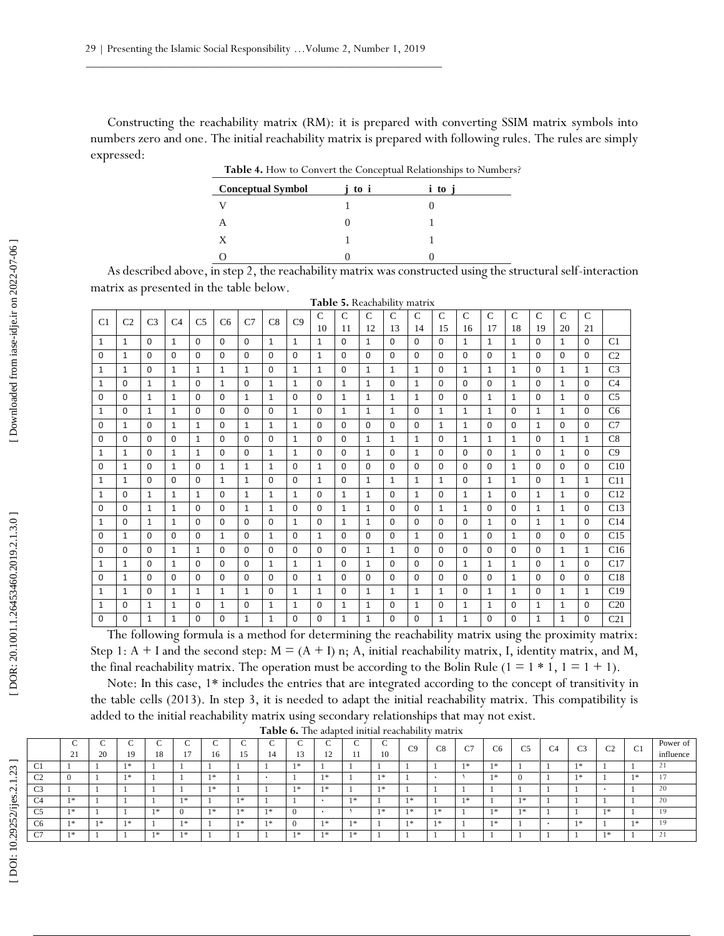Constructing the reachability matrix (RM): it is prepared with converting SSIM matrix symbols into numbers zero and one. The initial reachability matrix is prepared with following rules. The rules are simply expressed:

**Table 4.** How to Convert the Conceptual Relationships to Numbers? **Conceptual Symbol j to i i to j**

| .<br>. . | $\sim$ |
|----------|--------|

As described above, in step 2, the reachability matrix was constructed using the structural self -interaction matrix as presented in the table below.

|                |                |                |                |                |              |              |              |                |               |               |               |              | Table 5. Reachability matrix |               |               |               |              |               |              |              |                 |
|----------------|----------------|----------------|----------------|----------------|--------------|--------------|--------------|----------------|---------------|---------------|---------------|--------------|------------------------------|---------------|---------------|---------------|--------------|---------------|--------------|--------------|-----------------|
| C <sub>1</sub> | C <sub>2</sub> | C <sub>3</sub> | C <sub>4</sub> | C <sub>5</sub> | C6           | C7           | C8           | C <sub>9</sub> | $\mathcal{C}$ | $\mathcal{C}$ | $\mathcal{C}$ | $\mathsf{C}$ | $\mathcal{C}$                | $\mathcal{C}$ | $\mathcal{C}$ | $\mathcal{C}$ | $\mathsf{C}$ | $\mathcal{C}$ | $\mathbf C$  | $\mathbf C$  |                 |
|                |                |                |                |                |              |              |              |                | 10            | 11            | 12            | 13           | 14                           | 15            | 16            | 17            | 18           | 19            | 20           | 21           |                 |
| $\mathbf{1}$   | $\mathbf{1}$   | $\Omega$       | $\mathbf{1}$   | $\Omega$       | $\Omega$     | $\Omega$     | $\mathbf{1}$ | $\mathbf{1}$   | $\mathbf{1}$  | $\Omega$      | $\mathbf{1}$  | $\Omega$     | $\Omega$                     | $\Omega$      | $\mathbf{1}$  | $\mathbf{1}$  | $\mathbf{1}$ | 0             | $\mathbf{1}$ | $\Omega$     | C1              |
| $\Omega$       | $\mathbf{1}$   | $\Omega$       | $\Omega$       | $\Omega$       | $\Omega$     | $\Omega$     | $\Omega$     | $\Omega$       | $\mathbf{1}$  | $\Omega$      | $\Omega$      | $\Omega$     | $\Omega$                     | $\Omega$      | $\Omega$      | $\Omega$      | $\mathbf{1}$ | $\Omega$      | $\Omega$     | $\Omega$     | C <sub>2</sub>  |
| $\mathbf{1}$   | $\mathbf{1}$   | $\mathbf 0$    | $\mathbf{1}$   | $\mathbf{1}$   | $\mathbf{1}$ | $\mathbf{1}$ | $\Omega$     | $\mathbf{1}$   | $\mathbf{1}$  | $\Omega$      | $\mathbf{1}$  | $\mathbf{1}$ | $\mathbf{1}$                 | $\Omega$      | $\mathbf{1}$  | $\mathbf{1}$  | $\mathbf{1}$ | 0             | $\mathbf{1}$ | $\mathbf{1}$ | C <sub>3</sub>  |
| $\mathbf{1}$   | $\Omega$       | $\mathbf{1}$   | $\mathbf{1}$   | $\Omega$       | $\mathbf{1}$ | $\Omega$     | $\mathbf{1}$ | $\mathbf{1}$   | $\Omega$      | $\mathbf{1}$  | $\mathbf{1}$  | $\Omega$     | $\mathbf{1}$                 | $\Omega$      | $\Omega$      | $\Omega$      | $\mathbf{1}$ | $\Omega$      | $\mathbf{1}$ | $\Omega$     | C <sub>4</sub>  |
| 0              | 0              | $\mathbf{1}$   | $\mathbf{1}$   | 0              | $\mathbf 0$  | $\mathbf{1}$ | $\mathbf{1}$ | 0              | $\mathbf 0$   | $\mathbf{1}$  | $\mathbf{1}$  | $\mathbf{1}$ | $\mathbf{1}$                 | $\mathbf 0$   | 0             | $\mathbf{1}$  | $\mathbf{1}$ | 0             | $\mathbf{1}$ | $\mathbf 0$  | C <sub>5</sub>  |
| $\mathbf{1}$   | 0              | $\mathbf{1}$   | $\mathbf{1}$   | $\Omega$       | 0            | $\Omega$     | $\Omega$     | $\mathbf{1}$   | $\Omega$      | $\mathbf{1}$  | $\mathbf{1}$  | $\mathbf{1}$ | $\Omega$                     | $\mathbf{1}$  | 1             | $\mathbf{1}$  | $\Omega$     | $\mathbf{1}$  | 1            | $\Omega$     | C <sub>6</sub>  |
| $\Omega$       | $\mathbf{1}$   | $\mathbf 0$    | $\mathbf{1}$   | $\mathbf{1}$   | $\mathbf 0$  | $\mathbf{1}$ | $\mathbf{1}$ | $\mathbf{1}$   | $\Omega$      | $\Omega$      | $\Omega$      | $\Omega$     | $\Omega$                     | $\mathbf{1}$  | $\mathbf{1}$  | $\Omega$      | $\Omega$     | $\mathbf{1}$  | $\Omega$     | $\Omega$     | C7              |
| 0              | 0              | $\mathbf 0$    | $\mathbf 0$    | $\mathbf{1}$   | $\mathbf 0$  | $\Omega$     | $\Omega$     | $\mathbf{1}$   | $\mathbf 0$   | $\Omega$      | $\mathbf{1}$  | $\mathbf{1}$ | $\mathbf{1}$                 | 0             | $\mathbf{1}$  | $\mathbf{1}$  | $\mathbf{1}$ | 0             | $\mathbf{1}$ | $\mathbf{1}$ | C8              |
| $\mathbf{1}$   | $\mathbf{1}$   | $\Omega$       | $\mathbf{1}$   | $\mathbf{1}$   | $\Omega$     | $\Omega$     | $\mathbf{1}$ | $\mathbf{1}$   | $\Omega$      | $\Omega$      | $\mathbf{1}$  | $\Omega$     | $\mathbf{1}$                 | $\Omega$      | $\Omega$      | $\Omega$      | $\mathbf{1}$ | $\Omega$      | $\mathbf{1}$ | $\Omega$     | C9              |
| 0              | 1              | $\mathbf 0$    | $\mathbf{1}$   | 0              | $\mathbf{1}$ | $\mathbf{1}$ | $\mathbf{1}$ | $\mathbf 0$    | $\mathbf{1}$  | $\Omega$      | $\mathbf 0$   | 0            | $\Omega$                     | $\mathbf 0$   | $\mathbf 0$   | 0             | $\mathbf{1}$ | 0             | $\Omega$     | $\Omega$     | C10             |
| $\mathbf{1}$   | $\mathbf{1}$   | $\mathbf 0$    | $\Omega$       | $\Omega$       | $\mathbf{1}$ | $\mathbf{1}$ | $\Omega$     | $\mathbf 0$    | $\mathbf{1}$  | $\Omega$      | $\mathbf{1}$  | $\mathbf{1}$ | $\mathbf{1}$                 | $\mathbf{1}$  | $\mathbf 0$   | $\mathbf{1}$  | $\mathbf{1}$ | 0             | $\mathbf{1}$ | $\mathbf{1}$ | C11             |
| $\mathbf{1}$   | $\Omega$       | $\mathbf{1}$   | $\mathbf{1}$   | $\mathbf{1}$   | $\mathbf 0$  | $\mathbf{1}$ | $\mathbf{1}$ | $\mathbf{1}$   | $\mathbf 0$   | $\mathbf{1}$  | $\mathbf{1}$  | 0            | $\mathbf{1}$                 | $\mathbf 0$   | $\mathbf{1}$  | $\mathbf{1}$  | 0            | $\mathbf{1}$  | $\mathbf{1}$ | $\Omega$     | C12             |
| 0              | $\Omega$       | $\mathbf{1}$   | $\mathbf{1}$   | $\Omega$       | $\mathbf{0}$ | $\mathbf{1}$ | $\mathbf{1}$ | $\mathbf 0$    | $\mathbf 0$   | $\mathbf{1}$  | $\mathbf{1}$  | 0            | $\Omega$                     | $\mathbf{1}$  | 1             | $\Omega$      | 0            | $\mathbf{1}$  | 1            | $\Omega$     | C13             |
| $\mathbf{1}$   | $\Omega$       | $\mathbf{1}$   | $\mathbf{1}$   | $\Omega$       | $\Omega$     | $\Omega$     | $\Omega$     | $\mathbf{1}$   | $\Omega$      | $\mathbf{1}$  | $\mathbf{1}$  | $\Omega$     | $\Omega$                     | $\Omega$      | $\Omega$      | $\mathbf{1}$  | $\Omega$     | $\mathbf{1}$  | $\mathbf{1}$ | $\Omega$     | C14             |
| 0              | $\mathbf{1}$   | $\Omega$       | $\Omega$       | $\Omega$       | $\mathbf{1}$ | $\Omega$     | $\mathbf{1}$ | $\Omega$       | $\mathbf{1}$  | $\Omega$      | $\Omega$      | $\Omega$     | $\mathbf{1}$                 | $\Omega$      | $\mathbf{1}$  | $\Omega$      | $\mathbf{1}$ | $\Omega$      | $\Omega$     | $\Omega$     | C15             |
| 0              | $\Omega$       | $\mathbf 0$    | $\mathbf{1}$   | $\mathbf{1}$   | $\Omega$     | $\Omega$     | $\Omega$     | $\Omega$       | $\Omega$      | $\Omega$      | $\mathbf{1}$  | $\mathbf{1}$ | $\Omega$                     | $\Omega$      | $\Omega$      | $\Omega$      | $\Omega$     | $\Omega$      | $\mathbf{1}$ | $\mathbf{1}$ | C16             |
| $\mathbf{1}$   | $\mathbf{1}$   | $\mathbf 0$    | $\mathbf{1}$   | $\Omega$       | $\mathbf 0$  | $\mathbf 0$  | $\mathbf{1}$ | $\mathbf{1}$   | $\mathbf{1}$  | $\Omega$      | $\mathbf{1}$  | 0            | $\Omega$                     | $\mathbf 0$   | $\mathbf{1}$  | $\mathbf{1}$  | $\mathbf{1}$ | $\mathbf 0$   | $\mathbf{1}$ | $\Omega$     | C17             |
| 0              | $\mathbf{1}$   | $\mathbf 0$    | $\Omega$       | $\Omega$       | 0            | $\mathbf 0$  | $\Omega$     | 0              | $\mathbf{1}$  | $\Omega$      | 0             | 0            | $\Omega$                     | $\mathbf 0$   | $\mathbf 0$   | $\Omega$      | $\mathbf{1}$ | $\mathbf 0$   | $\Omega$     | $\Omega$     | C18             |
| $\mathbf{1}$   | $\mathbf{1}$   | 0              | $\mathbf{1}$   | $\mathbf{1}$   | $\mathbf{1}$ | $\mathbf{1}$ | $\Omega$     | $\mathbf{1}$   | $\mathbf{1}$  | $\Omega$      | $\mathbf{1}$  | $\mathbf{1}$ | 1                            | $\mathbf{1}$  | $\Omega$      | $\mathbf{1}$  | $\mathbf{1}$ | $\Omega$      | $\mathbf{1}$ | $\mathbf{1}$ | C19             |
| $\mathbf{1}$   | 0              | $\mathbf{1}$   | $\mathbf{1}$   | $\Omega$       | $\mathbf{1}$ | $\Omega$     | $\mathbf{1}$ | $\mathbf{1}$   | $\Omega$      | $\mathbf{1}$  | $\mathbf{1}$  | $\Omega$     | $\mathbf{1}$                 | $\Omega$      | $\mathbf{1}$  | $\mathbf{1}$  | $\Omega$     | $\mathbf{1}$  | $\mathbf{1}$ | $\Omega$     | C <sub>20</sub> |
| 0              | $\Omega$       | $\mathbf{1}$   | $\mathbf{1}$   | 0              | $\mathbf 0$  | $\mathbf{1}$ | $\mathbf{1}$ | 0              | 0             | $\mathbf{1}$  | $\mathbf{1}$  | 0            | $\Omega$                     | $\mathbf{1}$  | $\mathbf{1}$  | $\mathbf 0$   | 0            | $\mathbf{1}$  | $\mathbf{1}$ | 0            | C <sub>21</sub> |

The following formula is a method for determining the reachability matrix using the proximity matrix: Step 1:  $A + I$  and the second step:  $M = (A + I)$  n; A, initial reachability matrix, I, identity matrix, and M, the final reachability matrix. The operation must be according to the Bolin Rule ( $1 = 1 * 1$ ,  $1 = 1 + 1$ ).

Note: In this case, 1\* includes the entries that are integrated according to the concept of transitivity in the table cells (2013). In step 3, it is needed to adapt the initial reachability matrix. This compatibility is added to the initial reachability matrix using secondary relationships that may not exist.

|                | $\sim$<br>◡<br>$\bigcap$<br>$\sim$ | 20 | ⌒<br>19 | $\overline{\phantom{a}}$<br>◡<br>18 | ◡   | $\tilde{\phantom{a}}$<br>◡<br>16 |    | 14  | $\tilde{\phantom{a}}$<br>◡<br>IJ | ◡<br>12 | ⌒<br>◡<br> | ◡<br>10 | C9    | C8 | $\sim$<br>◡ | C6     | C <sub>5</sub> | C <sub>4</sub> | C <sub>3</sub> | C <sub>2</sub> | C <sub>1</sub> | Power of<br>influence |
|----------------|------------------------------------|----|---------|-------------------------------------|-----|----------------------------------|----|-----|----------------------------------|---------|------------|---------|-------|----|-------------|--------|----------------|----------------|----------------|----------------|----------------|-----------------------|
| C <sub>1</sub> |                                    |    | $1 *$   |                                     |     |                                  |    |     |                                  |         |            |         |       |    | *           | ىق     |                |                | ×              |                |                |                       |
| C <sub>2</sub> |                                    |    | $\ast$  |                                     |     | $\mathcal{L}$                    |    |     |                                  | 1 米     |            |         |       |    |             | $\ast$ |                |                | 下出し            |                | - 28           |                       |
| C <sub>3</sub> |                                    |    |         |                                     |     | *                                |    |     |                                  | 米       |            | 1 %     |       |    |             |        |                |                |                |                |                | 20                    |
| C <sub>4</sub> |                                    |    |         |                                     |     |                                  | しま |     |                                  |         | $\gg$      |         | $1*$  |    | - 18        |        | $\cdot$        |                |                |                |                | 20                    |
| C <sub>5</sub> | 1支                                 |    |         | 女                                   |     | $\mathbf{a}$                     | しま | 米   |                                  |         |            |         | 1 米   | *  |             | $\ast$ | *              |                |                |                |                |                       |
| C6             | 1 <sup>th</sup>                    |    | *       |                                     | ÷.  |                                  | *  | 1 * |                                  | $1*$    | 宗          |         | $1 *$ | *  |             | 水      |                |                | $1*$           |                | 米              |                       |
| C7             | 1支                                 |    |         | $\ast$                              | sk. |                                  |    |     |                                  | 1 米     | $\ast$     |         |       |    |             |        |                |                |                | $1*$           |                |                       |

**Table 6.** The adapted initial reachability matrix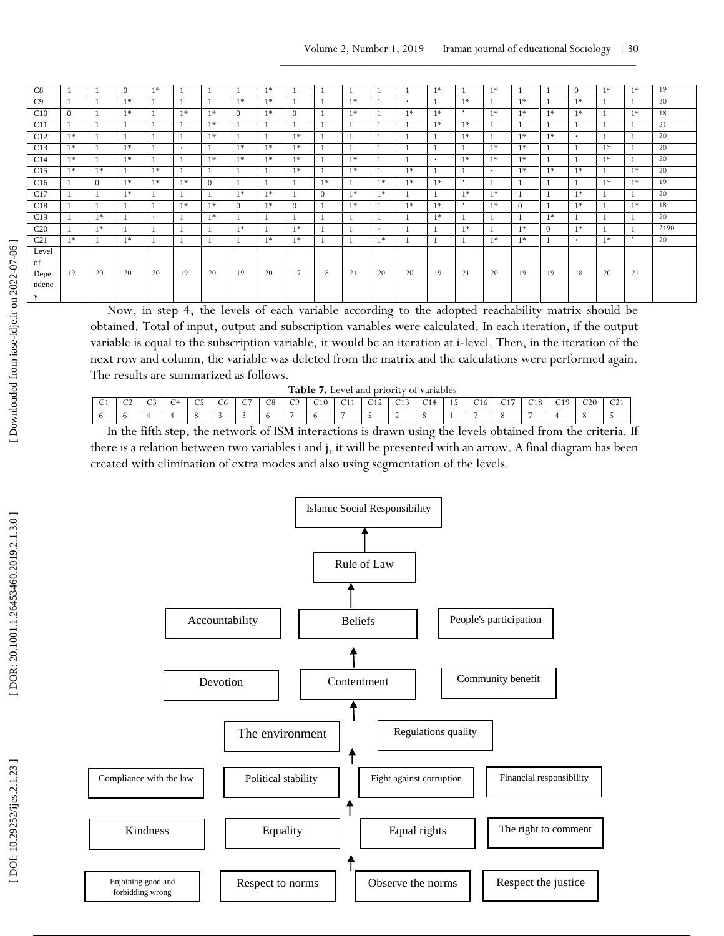| $\overline{C8}$<br>$1*$<br>$1*$<br>$1*$<br>$1*$<br>$1*$<br>$\Omega$<br>$1*$<br>$\Omega$<br>-1<br>J.<br>C9<br>$1*$<br>$1*$<br>$1*$<br>$1*$<br>$1*$<br>$1*$<br>$1*$<br>$\mathbf{1}$<br>$\bullet$<br>C10<br>$1*$<br>$1*$<br>$1*$<br>$1*$<br>$1*$<br>$1*$<br>$1*$<br>$\Omega$<br>$1*$<br>$1*$<br>$1*$<br>$1*$<br>$1*$<br>$\Omega$<br>$\Omega$<br>C11<br>$1*$<br>$1*$<br>$1*$<br>$\mathbf{1}$<br>C12<br>$1*$<br>$1*$<br>$1*$<br>$1*$<br>$1*$<br>$1*$<br>$\overline{1}$<br>$\ddot{\phantom{1}}$<br>C13<br>$1*$<br>$1*$<br>$1*$<br>$1*$<br>$1*$<br>$1*$<br>$1*$<br>$1*$<br>$\bullet$<br>C14<br>$1*$<br>$1*$<br>$1*$<br>$1*$<br>$1*$<br>$1*$<br>$1*$<br>$1*$<br>$1*$<br>$1*$<br>$1*$<br>-1<br>$\ddot{\phantom{1}}$<br>J.<br>C15<br>$1*$<br>$1*$<br>$1*$<br>$1*$<br>$1*$<br>$1*$<br>$1*$<br>$1*$<br>$1*$<br>$1*$<br>-1<br>$\ddot{\phantom{1}}$<br>C16<br>$1*$<br>$1*$<br>$1*$<br>$\Omega$<br>$1*$<br>$1*$<br>$1*$<br>$1*$<br>$1*$<br>$1*$<br>$\Omega$<br>C17<br>$1*$<br>$1*$<br>$1*$<br>$1*$<br>$1*$<br>$1*$<br>$1*$<br>$1*$<br>$\overline{1}$<br>$\Omega$<br>C18<br>$1*$<br>$1*$<br>$1*$<br>$1*$<br>$1*$<br>$1*$<br>$1*$<br>$1*$<br>$\Omega$<br>$1*$<br>$\Omega$<br>$\Omega$<br>C19<br>$1*$<br>$1*$<br>$1*$<br>$1*$<br>$\overline{1}$<br>1<br>$\ddot{\phantom{1}}$<br>- 1<br>C <sub>20</sub><br>$1*$<br>$1*$<br>$1*$<br>$1*$<br>$1*$<br>$\Omega$<br>$1*$<br>$\mathbf{1}$<br>$\ddot{\phantom{1}}$<br>C <sub>21</sub><br>$1*$<br>$1*$<br>$1*$<br>$1*$<br>$1*$<br>$1*$<br>$1*$<br>$1*$<br>-1<br>$\ddot{\phantom{1}}$<br>Level |      |
|--------------------------------------------------------------------------------------------------------------------------------------------------------------------------------------------------------------------------------------------------------------------------------------------------------------------------------------------------------------------------------------------------------------------------------------------------------------------------------------------------------------------------------------------------------------------------------------------------------------------------------------------------------------------------------------------------------------------------------------------------------------------------------------------------------------------------------------------------------------------------------------------------------------------------------------------------------------------------------------------------------------------------------------------------------------------------------------------------------------------------------------------------------------------------------------------------------------------------------------------------------------------------------------------------------------------------------------------------------------------------------------------------------------------------------------------------------------------------------------------------------------------|------|
|                                                                                                                                                                                                                                                                                                                                                                                                                                                                                                                                                                                                                                                                                                                                                                                                                                                                                                                                                                                                                                                                                                                                                                                                                                                                                                                                                                                                                                                                                                                    | 19   |
|                                                                                                                                                                                                                                                                                                                                                                                                                                                                                                                                                                                                                                                                                                                                                                                                                                                                                                                                                                                                                                                                                                                                                                                                                                                                                                                                                                                                                                                                                                                    | 20   |
|                                                                                                                                                                                                                                                                                                                                                                                                                                                                                                                                                                                                                                                                                                                                                                                                                                                                                                                                                                                                                                                                                                                                                                                                                                                                                                                                                                                                                                                                                                                    | 18   |
|                                                                                                                                                                                                                                                                                                                                                                                                                                                                                                                                                                                                                                                                                                                                                                                                                                                                                                                                                                                                                                                                                                                                                                                                                                                                                                                                                                                                                                                                                                                    | 21   |
|                                                                                                                                                                                                                                                                                                                                                                                                                                                                                                                                                                                                                                                                                                                                                                                                                                                                                                                                                                                                                                                                                                                                                                                                                                                                                                                                                                                                                                                                                                                    | 20   |
|                                                                                                                                                                                                                                                                                                                                                                                                                                                                                                                                                                                                                                                                                                                                                                                                                                                                                                                                                                                                                                                                                                                                                                                                                                                                                                                                                                                                                                                                                                                    | 20   |
|                                                                                                                                                                                                                                                                                                                                                                                                                                                                                                                                                                                                                                                                                                                                                                                                                                                                                                                                                                                                                                                                                                                                                                                                                                                                                                                                                                                                                                                                                                                    | 20   |
|                                                                                                                                                                                                                                                                                                                                                                                                                                                                                                                                                                                                                                                                                                                                                                                                                                                                                                                                                                                                                                                                                                                                                                                                                                                                                                                                                                                                                                                                                                                    | 20   |
|                                                                                                                                                                                                                                                                                                                                                                                                                                                                                                                                                                                                                                                                                                                                                                                                                                                                                                                                                                                                                                                                                                                                                                                                                                                                                                                                                                                                                                                                                                                    | 19   |
|                                                                                                                                                                                                                                                                                                                                                                                                                                                                                                                                                                                                                                                                                                                                                                                                                                                                                                                                                                                                                                                                                                                                                                                                                                                                                                                                                                                                                                                                                                                    | 20   |
|                                                                                                                                                                                                                                                                                                                                                                                                                                                                                                                                                                                                                                                                                                                                                                                                                                                                                                                                                                                                                                                                                                                                                                                                                                                                                                                                                                                                                                                                                                                    | 18   |
|                                                                                                                                                                                                                                                                                                                                                                                                                                                                                                                                                                                                                                                                                                                                                                                                                                                                                                                                                                                                                                                                                                                                                                                                                                                                                                                                                                                                                                                                                                                    | 20   |
|                                                                                                                                                                                                                                                                                                                                                                                                                                                                                                                                                                                                                                                                                                                                                                                                                                                                                                                                                                                                                                                                                                                                                                                                                                                                                                                                                                                                                                                                                                                    | 2190 |
|                                                                                                                                                                                                                                                                                                                                                                                                                                                                                                                                                                                                                                                                                                                                                                                                                                                                                                                                                                                                                                                                                                                                                                                                                                                                                                                                                                                                                                                                                                                    | 20   |
| of                                                                                                                                                                                                                                                                                                                                                                                                                                                                                                                                                                                                                                                                                                                                                                                                                                                                                                                                                                                                                                                                                                                                                                                                                                                                                                                                                                                                                                                                                                                 |      |
| 20<br>21<br>19<br>20<br>19<br>17<br>20<br>19<br>21<br>20<br>19<br>19<br>20<br>19<br>20<br>18<br>20<br>18<br>20<br>21<br>20<br>Depe<br>ndenc<br>V                                                                                                                                                                                                                                                                                                                                                                                                                                                                                                                                                                                                                                                                                                                                                                                                                                                                                                                                                                                                                                                                                                                                                                                                                                                                                                                                                                   |      |

Now, in step 4, the levels of each variable according to the adopted reachability matrix should be obtained. Total of input, output and subscription variables were calculated. In each iteration, if the output variable is equal to the subscription variable, it would be an iteration at i -level. Then, in the iteration of the next row and column, the variable was deleted from the matrix and the calculations were performed again. The results are summarized as follows.

|             |        |             |        |                 |              |                 |        | Table.         |     |                   | Level and priority of " |                 | variables     |                           |     |                 |     |          |     |                |
|-------------|--------|-------------|--------|-----------------|--------------|-----------------|--------|----------------|-----|-------------------|-------------------------|-----------------|---------------|---------------------------|-----|-----------------|-----|----------|-----|----------------|
| $\sim$<br>◡ | $\sim$ | $\sim$<br>ັ | $\sim$ | $\sim$ $-$<br>w | $\sim$<br>◡◡ | $\sqrt{2}$<br>◡ | $\cap$ | $\bigcap$<br>ぃ | C10 | C11<br>$\sim$ 1 1 | $\sqrt{11}$             | C12<br>$\sim$ . | $\sim$ 1<br>◡ | $\blacksquare$<br>$\cdot$ | C16 | $\sim$ 1 $\sim$ | C10 | C10<br>◡ | C20 | $\sim$ 1<br>◡▵ |
|             |        |             |        |                 |              |                 |        |                |     |                   |                         | -               |               |                           |     |                 | -   |          |     |                |

In the fifth step, the network of ISM interactions is drawn using the levels obtained from the criteria. If there is a relation between two variables i and j, it will be presented with an arrow. A final diagram has been created with elimination of extra modes and also using segmentation of the levels.

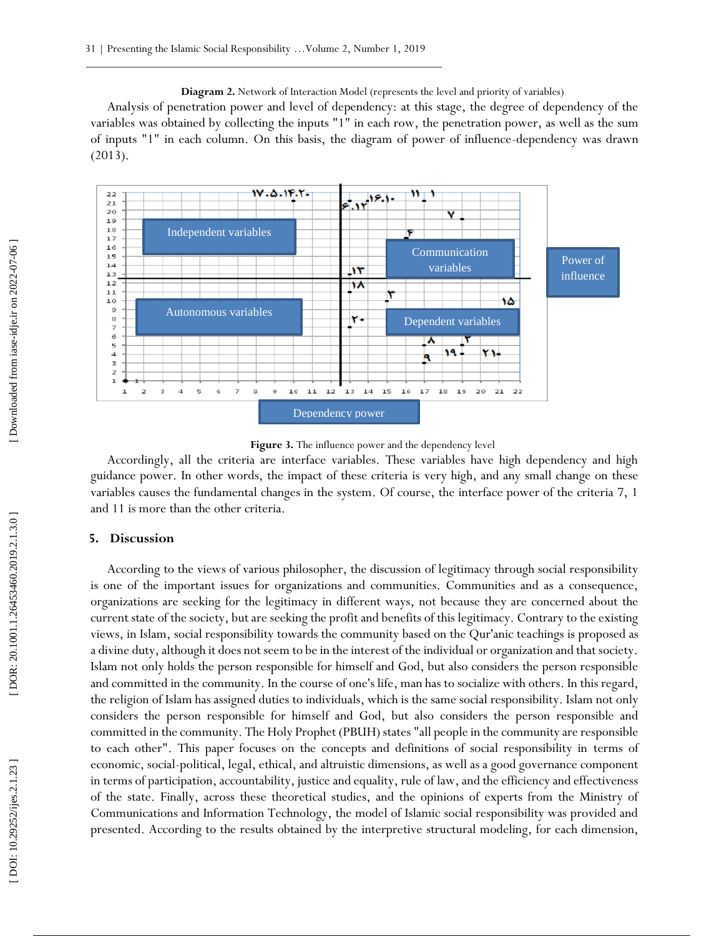**Diagram 2.** Network of Interaction Model (represents the level and priority of variables) Analysis of penetration power and level of dependency: at this stage, the degree of dependency of the variables was obtained by collecting the inputs "1" in each row, the penetration power, as well as the sum of inputs "1" in each column. On this basis, the diagram of power of influence -dependency was drawn (2013).



**Figure 3.** The influence power and the dependency level

Accordingly, all the criteria are interface variables. These variables have high dependency and high guidance power. In other words, the impact of these criteria is very high, and any small change on these variables causes the fundamental changes in the system. Of course, the interface power of the criteria 7, 1 and 11 is more than the other criteria.

# **5. Discussion**

According to the views of various philosopher, the discussion of legitimacy through social responsibility is one of the important issues for organizations and communities. Communities and as a consequence, organizations are seeking for the legitimacy in different ways, not because they are concerned about the current state of the society, but are seeking the profit and benefits of this legitimacy. Contrary to the existing views, in Islam, social responsibility towards the community based on the Qur'anic teachings is proposed as a divine duty, although it does not seem to be in the interest of the individual or organization and that society. Islam not only holds the person responsible for himself and God, but also considers the person responsible and committed in the community. In the course of one's life, man has to socialize with others. In this regard, the religion of Islam has assigned duties to individuals, which is the same social responsibility. Islam not only considers the person responsible for himself and God, but also considers the person responsible and committed in the community. The Holy Prophet (PBUH) states "all people in the community are responsible to each other". This paper focuses on the concepts and definitions of social responsibility in terms of economic, social -political, legal, ethical, and altruistic dimensions, as well as a good governance component in terms of participation, accountability, justice and equality, rule of law, and the efficiency and effectiveness of the state. Finally, across these theoretical studies, and the opinions of experts from the Ministry of Communications and Information Technology, the model of Islamic social responsibility was provided and presented. According to the results obtained by the interpretive structural modeling, for each dimension,